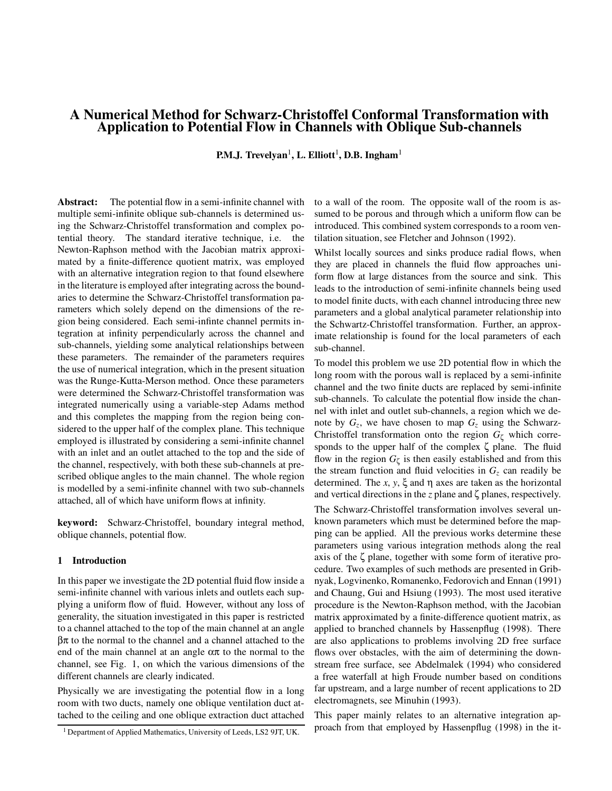# **A Numerical Method for Schwarz-Christoffel Conformal Transformation with Application to Potential Flow in Channels with Oblique Sub-channels**

**P.M.J. Trevelyan<sup>1</sup>, L. Elliott<sup>1</sup>, D.B. Ingham<sup>1</sup>** 

**Abstract:** The potential flow in a semi-infinite channel with multiple semi-infinite oblique sub-channels is determined using the Schwarz-Christoffel transformation and complex potential theory. The standard iterative technique, i.e. the Newton-Raphson method with the Jacobian matrix approximated by a finite-difference quotient matrix, was employed with an alternative integration region to that found elsewhere in the literature is employed after integrating across the boundaries to determine the Schwarz-Christoffel transformation parameters which solely depend on the dimensions of the region being considered. Each semi-infinte channel permits integration at infinity perpendicularly across the channel and sub-channels, yielding some analytical relationships between these parameters. The remainder of the parameters requires the use of numerical integration, which in the present situation was the Runge-Kutta-Merson method. Once these parameters were determined the Schwarz-Christoffel transformation was integrated numerically using a variable-step Adams method and this completes the mapping from the region being considered to the upper half of the complex plane. This technique employed is illustrated by considering a semi-infinite channel with an inlet and an outlet attached to the top and the side of the channel, respectively, with both these sub-channels at prescribed oblique angles to the main channel. The whole region is modelled by a semi-infinite channel with two sub-channels attached, all of which have uniform flows at infinity.

**keyword:** Schwarz-Christoffel, boundary integral method, oblique channels, potential flow.

#### **1 Introduction**

In this paper we investigate the 2D potential fluid flow inside a semi-infinite channel with various inlets and outlets each supplying a uniform flow of fluid. However, without any loss of generality, the situation investigated in this paper is restricted to a channel attached to the top of the main channel at an angle  $βπ$  to the normal to the channel and a channel attached to the end of the main channel at an angle  $\alpha \pi$  to the normal to the channel, see Fig. 1, on which the various dimensions of the different channels are clearly indicated.

Physically we are investigating the potential flow in a long room with two ducts, namely one oblique ventilation duct attached to the ceiling and one oblique extraction duct attached to a wall of the room. The opposite wall of the room is assumed to be porous and through which a uniform flow can be introduced. This combined system corresponds to a room ventilation situation, see Fletcher and Johnson (1992).

Whilst locally sources and sinks produce radial flows, when they are placed in channels the fluid flow approaches uniform flow at large distances from the source and sink. This leads to the introduction of semi-infinite channels being used to model finite ducts, with each channel introducing three new parameters and a global analytical parameter relationship into the Schwartz-Christoffel transformation. Further, an approximate relationship is found for the local parameters of each sub-channel.

To model this problem we use 2D potential flow in which the long room with the porous wall is replaced by a semi-infinite channel and the two finite ducts are replaced by semi-infinite sub-channels. To calculate the potential flow inside the channel with inlet and outlet sub-channels, a region which we denote by  $G_z$ , we have chosen to map  $G_z$  using the Schwarz-Christoffel transformation onto the region  $G_{\zeta}$  which corresponds to the upper half of the complex  $\zeta$  plane. The fluid flow in the region  $G_{\zeta}$  is then easily established and from this the stream function and fluid velocities in  $G<sub>z</sub>$  can readily be determined. The *x*, *y*,  $\xi$  and  $\eta$  axes are taken as the horizontal and vertical directions in the *z* plane and ζ planes, respectively.

The Schwarz-Christoffel transformation involves several unknown parameters which must be determined before the mapping can be applied. All the previous works determine these parameters using various integration methods along the real axis of the ζ plane, together with some form of iterative procedure. Two examples of such methods are presented in Gribnyak, Logvinenko, Romanenko, Fedorovich and Ennan (1991) and Chaung, Gui and Hsiung (1993). The most used iterative procedure is the Newton-Raphson method, with the Jacobian matrix approximated by a finite-difference quotient matrix, as applied to branched channels by Hassenpflug (1998). There are also applications to problems involving 2D free surface flows over obstacles, with the aim of determining the downstream free surface, see Abdelmalek (1994) who considered a free waterfall at high Froude number based on conditions far upstream, and a large number of recent applications to 2D electromagnets, see Minuhin (1993).

This paper mainly relates to an alternative integration approach from that employed by Hassenpflug (1998) in the it-

 $1$  Department of Applied Mathematics, University of Leeds, LS2 9JT, UK.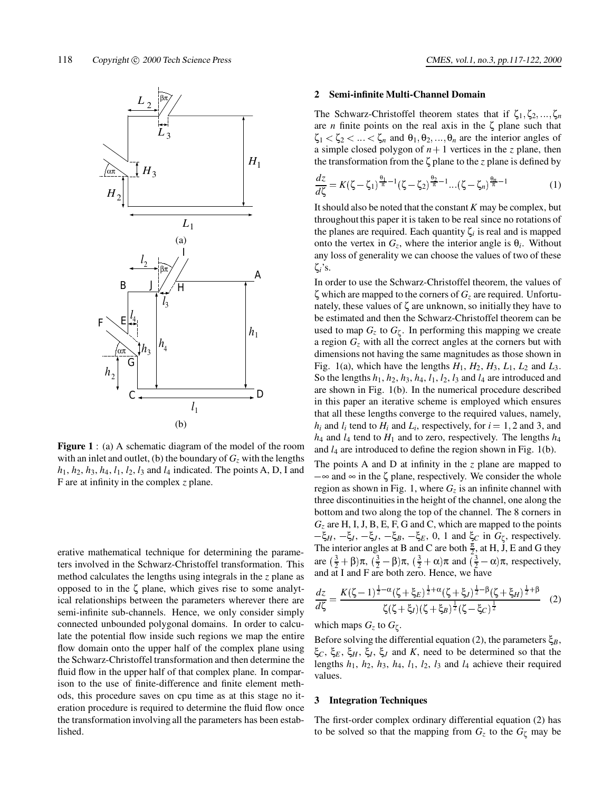

**Figure 1** : (a) A schematic diagram of the model of the room with an inlet and outlet, (b) the boundary of  $G<sub>z</sub>$  with the lengths  $h_1$ ,  $h_2$ ,  $h_3$ ,  $h_4$ ,  $l_1$ ,  $l_2$ ,  $l_3$  and  $l_4$  indicated. The points A, D, I and F are at infinity in the complex *z* plane.

erative mathematical technique for determining the parameters involved in the Schwarz-Christoffel transformation. This method calculates the lengths using integrals in the *z* plane as opposed to in the ζ plane, which gives rise to some analytical relationships between the parameters wherever there are semi-infinite sub-channels. Hence, we only consider simply connected unbounded polygonal domains. In order to calculate the potential flow inside such regions we map the entire flow domain onto the upper half of the complex plane using the Schwarz-Christoffel transformation and then determine the fluid flow in the upper half of that complex plane. In comparison to the use of finite-difference and finite element methods, this procedure saves on cpu time as at this stage no iteration procedure is required to determine the fluid flow once the transformation involving all the parameters has been established.

#### **2 Semi-infinite Multi-Channel Domain**

The Schwarz-Christoffel theorem states that if  $\zeta_1, \zeta_2, ..., \zeta_n$ are *n* finite points on the real axis in the  $\zeta$  plane such that  $\zeta_1 < \zeta_2 < \ldots < \zeta_n$  and  $\theta_1, \theta_2, \ldots, \theta_n$  are the interior angles of a simple closed polygon of  $n + 1$  vertices in the *z* plane, then the transformation from the ζ plane to the *z* plane is defined by

$$
\frac{dz}{d\zeta} = K(\zeta - \zeta_1)^{\frac{\theta_1}{\pi} - 1} (\zeta - \zeta_2)^{\frac{\theta_2}{\pi} - 1} \dots (\zeta - \zeta_n)^{\frac{\theta_n}{\pi} - 1}
$$
(1)

It should also be noted that the constant *K* may be complex, but throughout this paper it is taken to be real since no rotations of the planes are required. Each quantity  $\zeta_i$  is real and is mapped onto the vertex in  $G_z$ , where the interior angle is  $\theta_i$ . Without any loss of generality we can choose the values of two of these ζ*i*'s.

In order to use the Schwarz-Christoffel theorem, the values of  $\zeta$  which are mapped to the corners of  $G<sub>z</sub>$  are required. Unfortunately, these values of  $\zeta$  are unknown, so initially they have to be estimated and then the Schwarz-Christoffel theorem can be used to map  $G_z$  to  $G_\zeta$ . In performing this mapping we create a region *Gz* with all the correct angles at the corners but with dimensions not having the same magnitudes as those shown in Fig. 1(a), which have the lengths  $H_1$ ,  $H_2$ ,  $H_3$ ,  $L_1$ ,  $L_2$  and  $L_3$ . So the lengths  $h_1$ ,  $h_2$ ,  $h_3$ ,  $h_4$ ,  $l_1$ ,  $l_2$ ,  $l_3$  and  $l_4$  are introduced and are shown in Fig. 1(b). In the numerical procedure described in this paper an iterative scheme is employed which ensures that all these lengths converge to the required values, namely,  $h_i$  and  $l_i$  tend to  $H_i$  and  $L_i$ , respectively, for  $i = 1, 2$  and 3, and *h*<sup>4</sup> and *l*<sup>4</sup> tend to *H*<sup>1</sup> and to zero, respectively. The lengths *h*<sup>4</sup> and *l*<sup>4</sup> are introduced to define the region shown in Fig. 1(b).

The points A and D at infinity in the *z* plane are mapped to  $-\infty$  and  $\infty$  in the  $\zeta$  plane, respectively. We consider the whole region as shown in Fig. 1, where  $G<sub>z</sub>$  is an infinite channel with three discontinuities in the height of the channel, one along the bottom and two along the top of the channel. The 8 corners in *Gz* are H, I, J, B, E, F, G and C, which are mapped to the points  $-\xi$ *H*,  $-\xi$ *J*,  $-\xi$ *J*,  $-\xi$ *B*,  $-\xi$ *E*, 0, 1 and  $\xi$ *C* in *G*<sub>ζ</sub>, respectively. The interior angles at B and C are both  $\frac{\pi}{2}$ , at H, J, E and G they are  $(\frac{3}{2} + \beta)\pi$ ,  $(\frac{3}{2} - \beta)\pi$ ,  $(\frac{3}{2} + \alpha)\pi$  and  $(\frac{3}{2} - \alpha)\pi$ , respectively, and at I and F are both zero. Hence, we have

$$
\frac{dz}{d\zeta} = \frac{K(\zeta - 1)^{\frac{1}{2} - \alpha} (\zeta + \xi_E)^{\frac{1}{2} + \alpha} (\zeta + \xi_J)^{\frac{1}{2} - \beta} (\zeta + \xi_H)^{\frac{1}{2} + \beta}}{\zeta(\zeta + \xi_J) (\zeta + \xi_B)^{\frac{1}{2}} (\zeta - \xi_C)^{\frac{1}{2}}}
$$
(2)

# which maps  $G_z$  to  $G_\zeta$ .

Before solving the differential equation (2), the parameters  $\xi_B$ , ξ*C*, ξ*<sup>E</sup>* , ξ*<sup>H</sup>* , ξ*I*, ξ*<sup>J</sup>* and *K*, need to be determined so that the lengths  $h_1$ ,  $h_2$ ,  $h_3$ ,  $h_4$ ,  $l_1$ ,  $l_2$ ,  $l_3$  and  $l_4$  achieve their required values.

## **3 Integration Techniques**

The first-order complex ordinary differential equation (2) has to be solved so that the mapping from  $G_z$  to the  $G_\zeta$  may be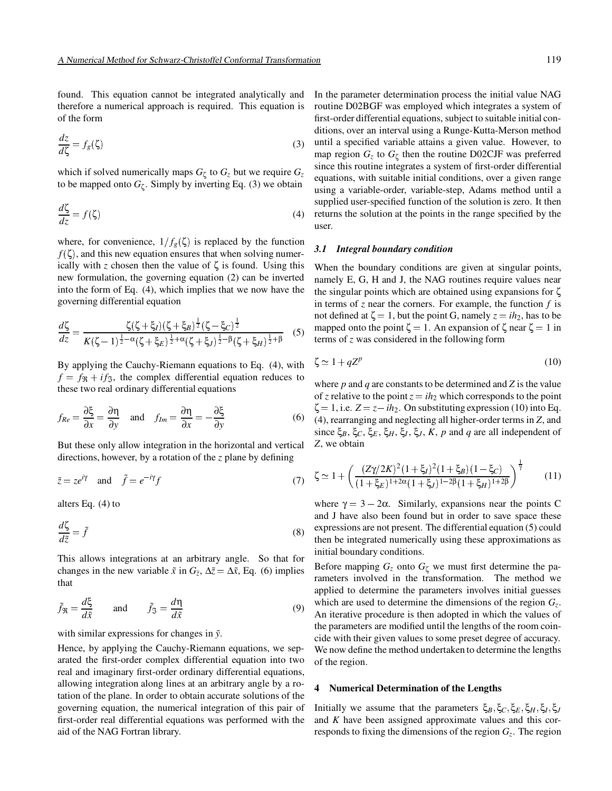found. This equation cannot be integrated analytically and therefore a numerical approach is required. This equation is of the form

$$
\frac{dz}{d\zeta} = f_g(\zeta) \tag{3}
$$

which if solved numerically maps  $G_{\zeta}$  to  $G_{z}$  but we require  $G_{z}$ to be mapped onto  $G_{\zeta}$ . Simply by inverting Eq. (3) we obtain

$$
\frac{d\zeta}{dz} = f(\zeta) \tag{4}
$$

where, for convenience,  $1/f_g(\zeta)$  is replaced by the function  $f(\zeta)$ , and this new equation ensures that when solving numerically with *z* chosen then the value of  $\zeta$  is found. Using this new formulation, the governing equation (2) can be inverted into the form of Eq. (4), which implies that we now have the governing differential equation

$$
\frac{d\zeta}{dz} = \frac{\zeta(\zeta + \xi_I)(\zeta + \xi_B)^{\frac{1}{2}}(\zeta - \xi_C)^{\frac{1}{2}}}{K(\zeta - 1)^{\frac{1}{2} - \alpha}(\zeta + \xi_E)^{\frac{1}{2} + \alpha}(\zeta + \xi_J)^{\frac{1}{2} - \beta}(\zeta + \xi_H)^{\frac{1}{2} + \beta}}
$$
(5)

By applying the Cauchy-Riemann equations to Eq. (4), with  $f = f_{\Re} + i f_{\Im}$ , the complex differential equation reduces to these two real ordinary differential equations

$$
f_{Re} = \frac{\partial \xi}{\partial x} = \frac{\partial \eta}{\partial y} \quad \text{and} \quad f_{Im} = \frac{\partial \eta}{\partial x} = -\frac{\partial \xi}{\partial y}
$$
(6)

But these only allow integration in the horizontal and vertical directions, however, by a rotation of the *z* plane by defining

$$
\tilde{z} = ze^{i\gamma} \quad \text{and} \quad \tilde{f} = e^{-i\gamma} f \tag{7}
$$

alters Eq. (4) to

$$
\frac{d\zeta}{d\tilde{z}} = \tilde{f} \tag{8}
$$

This allows integrations at an arbitrary angle. So that for changes in the new variable  $\tilde{x}$  in  $G_{\tilde{z}}$ ,  $\Delta \tilde{z} = \Delta \tilde{x}$ , Eq. (6) implies that

$$
\tilde{f}_{\mathfrak{R}} = \frac{d\xi}{d\tilde{x}}
$$
 and  $\tilde{f}_{\mathfrak{I}} = \frac{d\eta}{d\tilde{x}}$  (9)

with similar expressions for changes in  $\tilde{y}$ .

Hence, by applying the Cauchy-Riemann equations, we separated the first-order complex differential equation into two real and imaginary first-order ordinary differential equations, allowing integration along lines at an arbitrary angle by a rotation of the plane. In order to obtain accurate solutions of the governing equation, the numerical integration of this pair of first-order real differential equations was performed with the aid of the NAG Fortran library.

In the parameter determination process the initial value NAG routine D02BGF was employed which integrates a system of first-order differential equations, subject to suitable initial conditions, over an interval using a Runge-Kutta-Merson method until a specified variable attains a given value. However, to map region  $G_z$  to  $G_\zeta$  then the routine D02CJF was preferred since this routine integrates a system of first-order differential equations, with suitable initial conditions, over a given range using a variable-order, variable-step, Adams method until a supplied user-specified function of the solution is zero. It then returns the solution at the points in the range specified by the user.

#### *3.1 Integral boundary condition*

When the boundary conditions are given at singular points, namely E, G, H and J, the NAG routines require values near the singular points which are obtained using expansions for  $\zeta$ in terms of *z* near the corners. For example, the function *f* is not defined at  $\zeta = 1$ , but the point G, namely  $z = ih_2$ , has to be mapped onto the point  $\zeta = 1$ . An expansion of  $\zeta$  near  $\zeta = 1$  in terms of *z* was considered in the following form

$$
\zeta \simeq 1 + qZ^p \tag{10}
$$

where  $p$  and  $q$  are constants to be determined and  $Z$  is the value of *z* relative to the point  $z = ih_2$  which corresponds to the point  $\zeta = 1$ , i.e.  $Z = z - ih_2$ . On substituting expression (10) into Eq. (4), rearranging and neglecting all higher-order terms in *Z*, and since  $\xi_B$ ,  $\xi_C$ ,  $\xi_E$ ,  $\xi_H$ ,  $\xi_I$ ,  $\xi_J$ ,  $K$ ,  $p$  and  $q$  are all independent of *Z*, we obtain

$$
\zeta \simeq 1 + \left( \frac{(Z\gamma/2K)^2 (1 + \xi_I)^2 (1 + \xi_B)(1 - \xi_C)}{(1 + \xi_E)^{1 + 2\alpha} (1 + \xi_J)^{1 - 2\beta} (1 + \xi_H)^{1 + 2\beta}} \right)^{\frac{1}{\gamma}}
$$
(11)

where  $\gamma = 3 - 2\alpha$ . Similarly, expansions near the points C and J have also been found but in order to save space these expressions are not present. The differential equation (5) could then be integrated numerically using these approximations as initial boundary conditions.

Before mapping  $G_z$  onto  $G_\zeta$  we must first determine the parameters involved in the transformation. The method we applied to determine the parameters involves initial guesses which are used to determine the dimensions of the region  $G<sub>z</sub>$ . An iterative procedure is then adopted in which the values of the parameters are modified until the lengths of the room coincide with their given values to some preset degree of accuracy. We now define the method undertaken to determine the lengths of the region.

### **4 Numerical Determination of the Lengths**

Initially we assume that the parameters  $\xi_B$ ,  $\xi_C$ ,  $\xi_E$ ,  $\xi_H$ ,  $\xi_I$ ,  $\xi_J$ and *K* have been assigned approximate values and this corresponds to fixing the dimensions of the region *Gz*. The region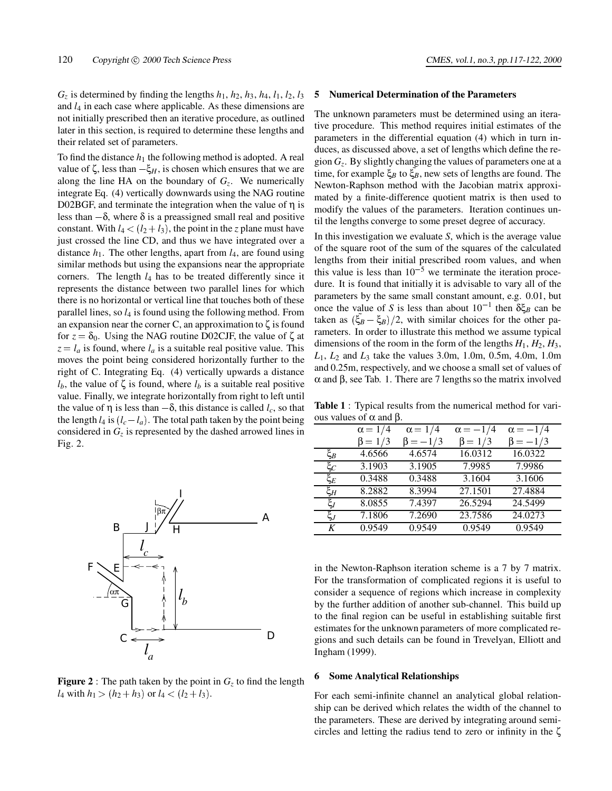$G_z$  is determined by finding the lengths  $h_1$ ,  $h_2$ ,  $h_3$ ,  $h_4$ ,  $l_1$ ,  $l_2$ ,  $l_3$ and *l*<sup>4</sup> in each case where applicable. As these dimensions are not initially prescribed then an iterative procedure, as outlined later in this section, is required to determine these lengths and their related set of parameters.

To find the distance  $h_1$  the following method is adopted. A real value of  $\zeta$ , less than  $-\xi$ *H*, is chosen which ensures that we are along the line HA on the boundary of  $G_z$ . We numerically integrate Eq. (4) vertically downwards using the NAG routine D02BGF, and terminate the integration when the value of η is less than  $-\delta$ , where  $\delta$  is a preassigned small real and positive constant. With  $l_4 < (l_2 + l_3)$ , the point in the *z* plane must have just crossed the line CD, and thus we have integrated over a distance  $h_1$ . The other lengths, apart from  $l_4$ , are found using similar methods but using the expansions near the appropriate corners. The length *l*<sup>4</sup> has to be treated differently since it represents the distance between two parallel lines for which there is no horizontal or vertical line that touches both of these parallel lines, so *l*<sup>4</sup> is found using the following method. From an expansion near the corner C, an approximation to  $\zeta$  is found for  $z = \delta_0$ . Using the NAG routine D02CJF, the value of  $\zeta$  at  $z = l_a$  is found, where  $l_a$  is a suitable real positive value. This moves the point being considered horizontally further to the right of C. Integrating Eq. (4) vertically upwards a distance  $l_b$ , the value of  $\zeta$  is found, where  $l_b$  is a suitable real positive value. Finally, we integrate horizontally from right to left until the value of  $\eta$  is less than  $-\delta$ , this distance is called *l<sub>c</sub>*, so that the length  $l_4$  is  $(l_c - l_a)$ . The total path taken by the point being considered in  $G<sub>z</sub>$  is represented by the dashed arrowed lines in Fig. 2.



**Figure 2** : The path taken by the point in  $G<sub>z</sub>$  to find the length  $l_4$  with  $h_1 > (h_2 + h_3)$  or  $l_4 < (l_2 + l_3)$ .

#### **5 Numerical Determination of the Parameters**

The unknown parameters must be determined using an iterative procedure. This method requires initial estimates of the parameters in the differential equation (4) which in turn induces, as discussed above, a set of lengths which define the region *Gz*. By slightly changing the values of parameters one at a time, for example  $\xi_B$  to  $\xi_B^*$ , new sets of lengths are found. The Newton-Raphson method with the Jacobian matrix approximated by a finite-difference quotient matrix is then used to modify the values of the parameters. Iteration continues until the lengths converge to some preset degree of accuracy.

In this investigation we evaluate *S*, which is the average value of the square root of the sum of the squares of the calculated lengths from their initial prescribed room values, and when this value is less than  $10^{-5}$  we terminate the iteration procedure. It is found that initially it is advisable to vary all of the parameters by the same small constant amount, e.g. 0.01, but once the value of *S* is less than about  $10^{-1}$  then  $\delta \xi_B$  can be taken as  $(\xi_B - \xi_B)/2$ , with similar choices for the other parameters. In order to illustrate this method we assume typical dimensions of the room in the form of the lengths  $H_1$ ,  $H_2$ ,  $H_3$ , *L*1, *L*<sup>2</sup> and *L*<sup>3</sup> take the values 3.0m, 1.0m, 0.5m, 4.0m, 1.0m and 0.25m, respectively, and we choose a small set of values of α and β, see Tab. 1. There are 7 lengths so the matrix involved

**Table 1** : Typical results from the numerical method for various values of  $α$  and  $β$ .

| $0 - 0$ when $P$ |                |                |                 |                 |  |
|------------------|----------------|----------------|-----------------|-----------------|--|
|                  | $\alpha = 1/4$ | $\alpha = 1/4$ | $\alpha = -1/4$ | $\alpha = -1/4$ |  |
|                  | $\beta = 1/3$  | $\beta = -1/3$ | $\beta = 1/3$   | $\beta = -1/3$  |  |
| $\xi_B$          | 4.6566         | 4.6574         | 16.0312         | 16.0322         |  |
| $\xi_C$          | 3.1903         | 3.1905         | 7.9985          | 7.9986          |  |
| $\xi_E$          | 0.3488         | 0.3488         | 3.1604          | 3.1606          |  |
| $\xi_H$          | 8.2882         | 8.3994         | 27.1501         | 27.4884         |  |
| $\xi_I$          | 8.0855         | 7.4397         | 26.5294         | 24.5499         |  |
| $\xi_J$          | 7.1806         | 7.2690         | 23.7586         | 24.0273         |  |
| K                | 0.9549         | 0.9549         | 0.9549          | 0.9549          |  |
|                  |                |                |                 |                 |  |

in the Newton-Raphson iteration scheme is a 7 by 7 matrix. For the transformation of complicated regions it is useful to consider a sequence of regions which increase in complexity by the further addition of another sub-channel. This build up to the final region can be useful in establishing suitable first estimates for the unknown parameters of more complicated regions and such details can be found in Trevelyan, Elliott and Ingham (1999).

### **6 Some Analytical Relationships**

For each semi-infinite channel an analytical global relationship can be derived which relates the width of the channel to the parameters. These are derived by integrating around semicircles and letting the radius tend to zero or infinity in the ζ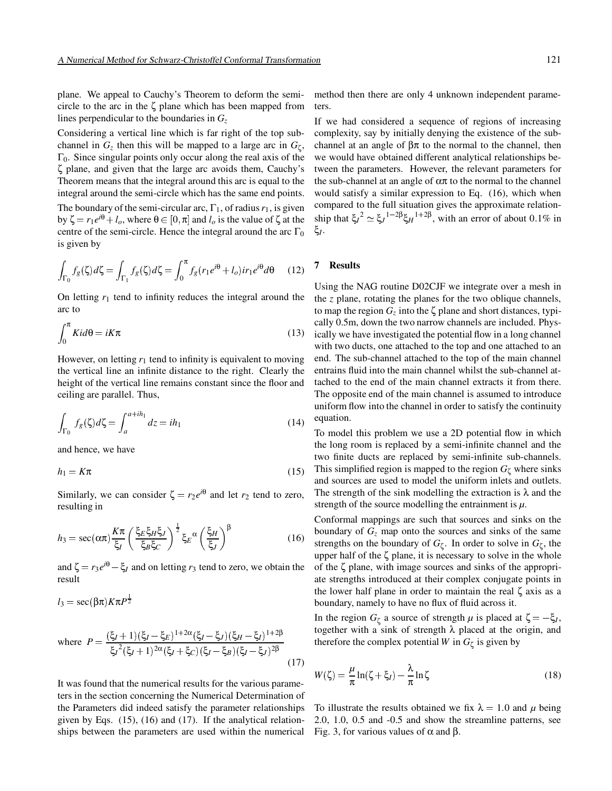plane. We appeal to Cauchy's Theorem to deform the semicircle to the arc in the ζ plane which has been mapped from lines perpendicular to the boundaries in  $G<sub>z</sub>$ 

Considering a vertical line which is far right of the top subchannel in  $G_z$  then this will be mapped to a large arc in  $G_\zeta$ ,  $\Gamma_0$ . Since singular points only occur along the real axis of the ζ plane, and given that the large arc avoids them, Cauchy's Theorem means that the integral around this arc is equal to the integral around the semi-circle which has the same end points.

The boundary of the semi-circular arc,  $\Gamma_1$ , of radius  $r_1$ , is given by  $\zeta = r_1 e^{i\theta} + l_o$ , where  $\theta \in [0, \pi]$  and  $l_o$  is the value of  $\zeta$  at the centre of the semi-circle. Hence the integral around the arc  $\Gamma_0$ is given by

$$
\int_{\Gamma_0} f_g(\zeta) d\zeta = \int_{\Gamma_1} f_g(\zeta) d\zeta = \int_0^\pi f_g(r_1 e^{i\theta} + l_o) ir_1 e^{i\theta} d\theta \tag{12}
$$

On letting *r*<sup>1</sup> tend to infinity reduces the integral around the arc to

$$
\int_0^\pi K i d\theta = iK\pi
$$
\n(13)

However, on letting  $r_1$  tend to infinity is equivalent to moving the vertical line an infinite distance to the right. Clearly the height of the vertical line remains constant since the floor and ceiling are parallel. Thus,

$$
\int_{\Gamma_0} f_g(\zeta) d\zeta = \int_a^{a+ih_1} dz = ih_1 \tag{14}
$$

and hence, we have

 $l_3 = \sec(\beta \pi) K \pi P^{\frac{1}{2}}$ 

$$
h_1 = K\pi \tag{15}
$$

Similarly, we can consider  $\zeta = r_2 e^{i\theta}$  and let  $r_2$  tend to zero, resulting in

$$
h_3 = \sec(\alpha \pi) \frac{K\pi}{\xi_I} \left(\frac{\xi_E \xi_H \xi_J}{\xi_B \xi_C}\right)^{\frac{1}{2}} \xi_E^{\alpha} \left(\frac{\xi_H}{\xi_J}\right)^{\beta} \tag{16}
$$

and  $\zeta = r_3 e^{i\theta} - \zeta_I$  and on letting  $r_3$  tend to zero, we obtain the result

where 
$$
P = \frac{(\xi_I + 1)(\xi_I - \xi_E)^{1+2\alpha}(\xi_I - \xi_J)(\xi_H - \xi_I)^{1+2\beta}}{\xi_I^2(\xi_I + 1)^{2\alpha}(\xi_I + \xi_C)(\xi_I - \xi_B)(\xi_I - \xi_J)^{2\beta}}
$$
(17)

It was found that the numerical results for the various parameters in the section concerning the Numerical Determination of the Parameters did indeed satisfy the parameter relationships given by Eqs. (15), (16) and (17). If the analytical relationships between the parameters are used within the numerical method then there are only 4 unknown independent parameters.

If we had considered a sequence of regions of increasing complexity, say by initially denying the existence of the subchannel at an angle of  $βπ$  to the normal to the channel, then we would have obtained different analytical relationships between the parameters. However, the relevant parameters for the sub-channel at an angle of  $\alpha\pi$  to the normal to the channel would satisfy a similar expression to Eq. (16), which when compared to the full situation gives the approximate relationship that  $\xi_I^2 \simeq \xi_J^{1-2\beta} \xi_H^{1+2\beta}$ , with an error of about 0.1% in ξ*I*.

# **7 Results**

Using the NAG routine D02CJF we integrate over a mesh in the *z* plane, rotating the planes for the two oblique channels, to map the region  $G_z$  into the  $\zeta$  plane and short distances, typically 0.5m, down the two narrow channels are included. Physically we have investigated the potential flow in a long channel with two ducts, one attached to the top and one attached to an end. The sub-channel attached to the top of the main channel entrains fluid into the main channel whilst the sub-channel attached to the end of the main channel extracts it from there. The opposite end of the main channel is assumed to introduce uniform flow into the channel in order to satisfy the continuity equation.

To model this problem we use a 2D potential flow in which the long room is replaced by a semi-infinite channel and the two finite ducts are replaced by semi-infinite sub-channels. This simplified region is mapped to the region  $G_{\zeta}$  where sinks and sources are used to model the uniform inlets and outlets. The strength of the sink modelling the extraction is  $\lambda$  and the strength of the source modelling the entrainment is  $\mu$ .

Conformal mappings are such that sources and sinks on the boundary of  $G<sub>z</sub>$  map onto the sources and sinks of the same strengths on the boundary of  $G_{\zeta}$ . In order to solve in  $G_{\zeta}$ , the upper half of the  $\zeta$  plane, it is necessary to solve in the whole of the ζ plane, with image sources and sinks of the appropriate strengths introduced at their complex conjugate points in the lower half plane in order to maintain the real ζ axis as a boundary, namely to have no flux of fluid across it.

In the region *G*<sub>ζ</sub> a source of strength *μ* is placed at  $\zeta = -\xi$ *I*, together with a sink of strength  $\lambda$  placed at the origin, and therefore the complex potential *W* in  $G_{\zeta}$  is given by

$$
W(\zeta) = \frac{\mu}{\pi} \ln(\zeta + \xi_I) - \frac{\lambda}{\pi} \ln \zeta \tag{18}
$$

To illustrate the results obtained we fix  $\lambda = 1.0$  and  $\mu$  being 2.0, 1.0, 0.5 and -0.5 and show the streamline patterns, see Fig. 3, for various values of  $\alpha$  and  $\beta$ .